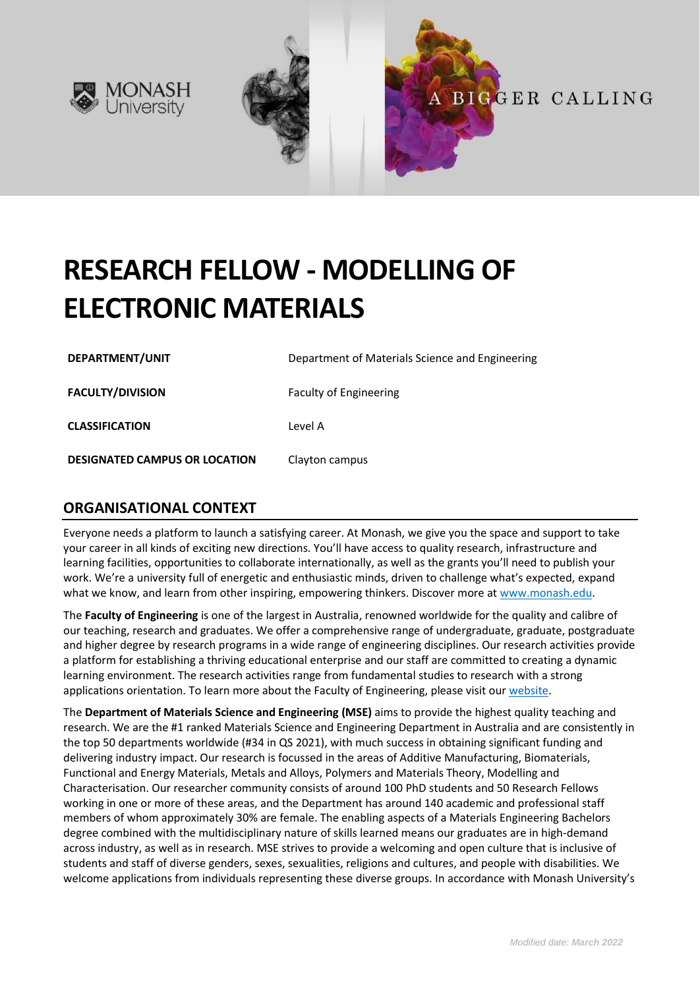



# **RESEARCH FELLOW - MODELLING OF ELECTRONIC MATERIALS**

**DEPARTMENT/UNIT** Department of Materials Science and Engineering **FACULTY/DIVISION** Faculty of Engineering **CLASSIFICATION** Level A **DESIGNATED CAMPUS OR LOCATION** Clayton campus

# **ORGANISATIONAL CONTEXT**

Everyone needs a platform to launch a satisfying career. At Monash, we give you the space and support to take your career in all kinds of exciting new directions. You'll have access to quality research, infrastructure and learning facilities, opportunities to collaborate internationally, as well as the grants you'll need to publish your work. We're a university full of energetic and enthusiastic minds, driven to challenge what's expected, expand what we know, and learn from other inspiring, empowering thinkers. Discover more a[t www.monash.edu.](http://www.monash.edu/)

The **Faculty of Engineering** is one of the largest in Australia, renowned worldwide for the quality and calibre of our teaching, research and graduates. We offer a comprehensive range of undergraduate, graduate, postgraduate and higher degree by research programs in a wide range of engineering disciplines. Our research activities provide a platform for establishing a thriving educational enterprise and our staff are committed to creating a dynamic learning environment. The research activities range from fundamental studies to research with a strong applications orientation. To learn more about the Faculty of Engineering, please visit our [website.](https://www.monash.edu/engineering)

The **Department of Materials Science and Engineering (MSE)** aims to provide the highest quality teaching and research. We are the #1 ranked Materials Science and Engineering Department in Australia and are consistently in the top 50 departments worldwide (#34 in QS 2021), with much success in obtaining significant funding and delivering industry impact. Our research is focussed in the areas of Additive Manufacturing, Biomaterials, Functional and Energy Materials, Metals and Alloys, Polymers and Materials Theory, Modelling and Characterisation. Our researcher community consists of around 100 PhD students and 50 Research Fellows working in one or more of these areas, and the Department has around 140 academic and professional staff members of whom approximately 30% are female. The enabling aspects of a Materials Engineering Bachelors degree combined with the multidisciplinary nature of skills learned means our graduates are in high-demand across industry, as well as in research. MSE strives to provide a welcoming and open culture that is inclusive of students and staff of diverse genders, sexes, sexualities, religions and cultures, and people with disabilities. We welcome applications from individuals representing these diverse groups. In accordance with Monash University's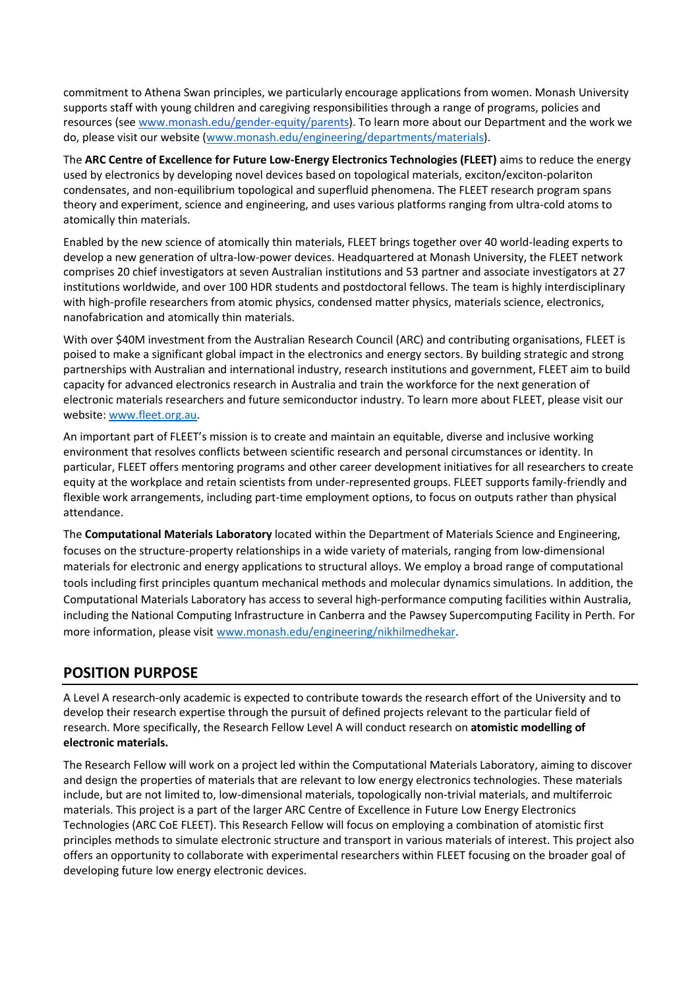commitment to Athena Swan principles, we particularly encourage applications from women. Monash University supports staff with young children and caregiving responsibilities through a range of programs, policies and resources (see [www.monash.edu/gender-equity/parents\)](https://www.monash.edu/gender-equity/parents). To learn more about our Department and the work we do, please visit our website [\(www.monash.edu/engineering/departments/materials\)](https://www.monash.edu/engineering/departments/materials).

The **ARC Centre of Excellence for Future Low-Energy Electronics Technologies (FLEET)** aims to reduce the energy used by electronics by developing novel devices based on topological materials, exciton/exciton-polariton condensates, and non-equilibrium topological and superfluid phenomena. The FLEET research program spans theory and experiment, science and engineering, and uses various platforms ranging from ultra-cold atoms to atomically thin materials.

Enabled by the new science of atomically thin materials, FLEET brings together over 40 world-leading experts to develop a new generation of ultra-low-power devices. Headquartered at Monash University, the FLEET network comprises 20 chief investigators at seven Australian institutions and 53 partner and associate investigators at 27 institutions worldwide, and over 100 HDR students and postdoctoral fellows. The team is highly interdisciplinary with high-profile researchers from atomic physics, condensed matter physics, materials science, electronics, nanofabrication and atomically thin materials.

With over \$40M investment from the Australian Research Council (ARC) and contributing organisations, FLEET is poised to make a significant global impact in the electronics and energy sectors. By building strategic and strong partnerships with Australian and international industry, research institutions and government, FLEET aim to build capacity for advanced electronics research in Australia and train the workforce for the next generation of electronic materials researchers and future semiconductor industry. To learn more about FLEET, please visit our website[: www.fleet.org.au.](https://www.fleet.org.au/)

An important part of FLEET's mission is to create and maintain an equitable, diverse and inclusive working environment that resolves conflicts between scientific research and personal circumstances or identity. In particular, FLEET offers mentoring programs and other career development initiatives for all researchers to create equity at the workplace and retain scientists from under-represented groups. FLEET supports family-friendly and flexible work arrangements, including part-time employment options, to focus on outputs rather than physical attendance.

The **Computational Materials Laboratory** located within the Department of Materials Science and Engineering, focuses on the structure-property relationships in a wide variety of materials, ranging from low-dimensional materials for electronic and energy applications to structural alloys. We employ a broad range of computational tools including first principles quantum mechanical methods and molecular dynamics simulations. In addition, the Computational Materials Laboratory has access to several high-performance computing facilities within Australia, including the National Computing Infrastructure in Canberra and the Pawsey Supercomputing Facility in Perth. For more information, please visit [www.monash.edu/engineering/nikhilmedhekar.](https://www.monash.edu/engineering/nikhilmedhekar)

# **POSITION PURPOSE**

A Level A research-only academic is expected to contribute towards the research effort of the University and to develop their research expertise through the pursuit of defined projects relevant to the particular field of research. More specifically, the Research Fellow Level A will conduct research on **atomistic modelling of electronic materials.** 

The Research Fellow will work on a project led within the Computational Materials Laboratory, aiming to discover and design the properties of materials that are relevant to low energy electronics technologies. These materials include, but are not limited to, low-dimensional materials, topologically non-trivial materials, and multiferroic materials. This project is a part of the larger ARC Centre of Excellence in Future Low Energy Electronics Technologies (ARC CoE FLEET). This Research Fellow will focus on employing a combination of atomistic first principles methods to simulate electronic structure and transport in various materials of interest. This project also offers an opportunity to collaborate with experimental researchers within FLEET focusing on the broader goal of developing future low energy electronic devices.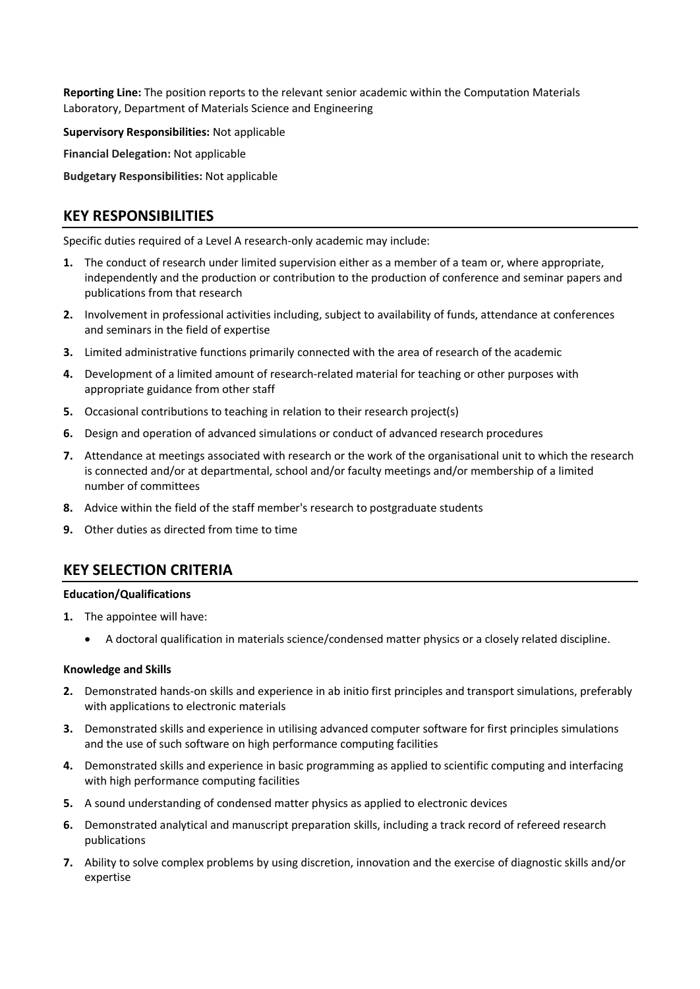**Reporting Line:** The position reports to the relevant senior academic within the Computation Materials Laboratory, Department of Materials Science and Engineering

**Supervisory Responsibilities:** Not applicable

**Financial Delegation:** Not applicable

**Budgetary Responsibilities:** Not applicable

# **KEY RESPONSIBILITIES**

Specific duties required of a Level A research-only academic may include:

- **1.** The conduct of research under limited supervision either as a member of a team or, where appropriate, independently and the production or contribution to the production of conference and seminar papers and publications from that research
- **2.** Involvement in professional activities including, subject to availability of funds, attendance at conferences and seminars in the field of expertise
- **3.** Limited administrative functions primarily connected with the area of research of the academic
- **4.** Development of a limited amount of research-related material for teaching or other purposes with appropriate guidance from other staff
- **5.** Occasional contributions to teaching in relation to their research project(s)
- **6.** Design and operation of advanced simulations or conduct of advanced research procedures
- **7.** Attendance at meetings associated with research or the work of the organisational unit to which the research is connected and/or at departmental, school and/or faculty meetings and/or membership of a limited number of committees
- **8.** Advice within the field of the staff member's research to postgraduate students
- **9.** Other duties as directed from time to time

# **KEY SELECTION CRITERIA**

### **Education/Qualifications**

- **1.** The appointee will have:
	- A doctoral qualification in materials science/condensed matter physics or a closely related discipline.

### **Knowledge and Skills**

- **2.** Demonstrated hands-on skills and experience in ab initio first principles and transport simulations, preferably with applications to electronic materials
- **3.** Demonstrated skills and experience in utilising advanced computer software for first principles simulations and the use of such software on high performance computing facilities
- **4.** Demonstrated skills and experience in basic programming as applied to scientific computing and interfacing with high performance computing facilities
- **5.** A sound understanding of condensed matter physics as applied to electronic devices
- **6.** Demonstrated analytical and manuscript preparation skills, including a track record of refereed research publications
- **7.** Ability to solve complex problems by using discretion, innovation and the exercise of diagnostic skills and/or expertise